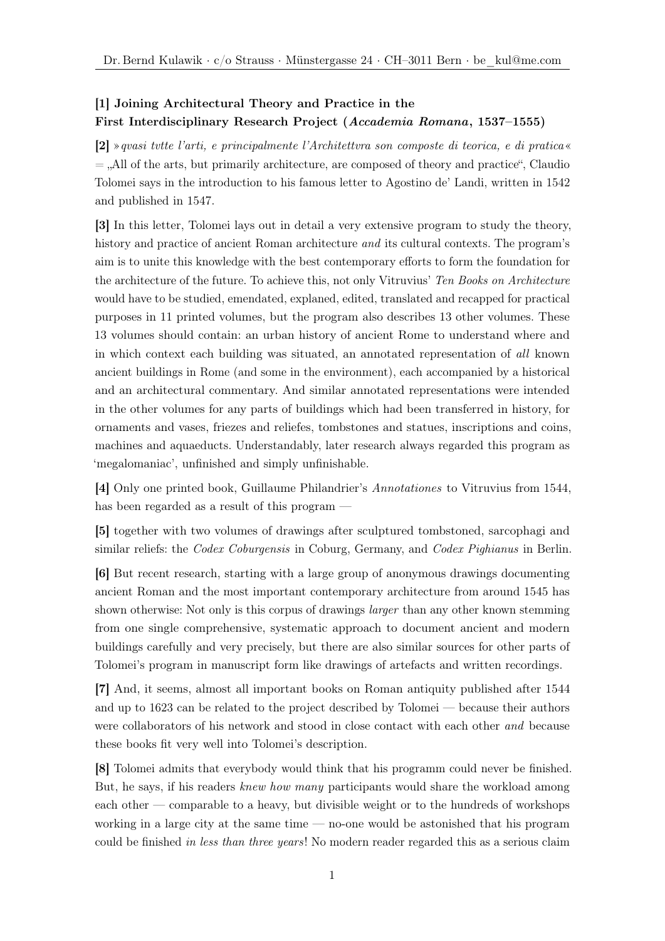## [1] Joining Architectural Theory and Practice in the First Interdisciplinary Research Project (Accademia Romana, 1537–1555)

[2] »qvasi tvtte l'arti, e principalmente l'Architettvra son composte di teorica, e di pratica«  $=$ , All of the arts, but primarily architecture, are composed of theory and practice", Claudio Tolomei says in the introduction to his famous letter to Agostino de' Landi, written in 1542 and published in 1547.

[3] In this letter, Tolomei lays out in detail a very extensive program to study the theory, history and practice of ancient Roman architecture *and* its cultural contexts. The program's aim is to unite this knowledge with the best contemporary efforts to form the foundation for the architecture of the future. To achieve this, not only Vitruvius' Ten Books on Architecture would have to be studied, emendated, explaned, edited, translated and recapped for practical purposes in 11 printed volumes, but the program also describes 13 other volumes. These 13 volumes should contain: an urban history of ancient Rome to understand where and in which context each building was situated, an annotated representation of all known ancient buildings in Rome (and some in the environment), each accompanied by a historical and an architectural commentary. And similar annotated representations were intended in the other volumes for any parts of buildings which had been transferred in history, for ornaments and vases, friezes and reliefes, tombstones and statues, inscriptions and coins, machines and aquaeducts. Understandably, later research always regarded this program as 'megalomaniac', unfinished and simply unfinishable.

[4] Only one printed book, Guillaume Philandrier's Annotationes to Vitruvius from 1544, has been regarded as a result of this program —

[5] together with two volumes of drawings after sculptured tombstoned, sarcophagi and similar reliefs: the *Codex Coburgensis* in Coburg, Germany, and *Codex Pighianus* in Berlin.

[6] But recent research, starting with a large group of anonymous drawings documenting ancient Roman and the most important contemporary architecture from around 1545 has shown otherwise: Not only is this corpus of drawings larger than any other known stemming from one single comprehensive, systematic approach to document ancient and modern buildings carefully and very precisely, but there are also similar sources for other parts of Tolomei's program in manuscript form like drawings of artefacts and written recordings.

[7] And, it seems, almost all important books on Roman antiquity published after 1544 and up to 1623 can be related to the project described by Tolomei — because their authors were collaborators of his network and stood in close contact with each other and because these books fit very well into Tolomei's description.

[8] Tolomei admits that everybody would think that his programm could never be finished. But, he says, if his readers knew how many participants would share the workload among each other — comparable to a heavy, but divisible weight or to the hundreds of workshops working in a large city at the same time — no-one would be astonished that his program could be finished in less than three years! No modern reader regarded this as a serious claim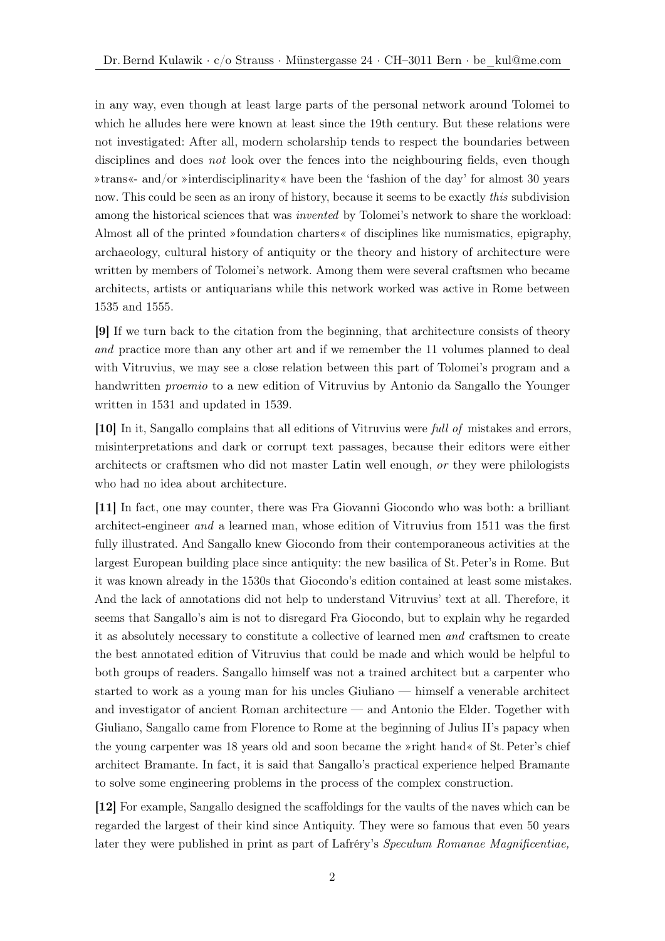in any way, even though at least large parts of the personal network around Tolomei to which he alludes here were known at least since the 19th century. But these relations were not investigated: After all, modern scholarship tends to respect the boundaries between disciplines and does *not* look over the fences into the neighbouring fields, even though »trans«- and/or »interdisciplinarity« have been the 'fashion of the day' for almost 30 years now. This could be seen as an irony of history, because it seems to be exactly *this* subdivision among the historical sciences that was *invented* by Tolomei's network to share the workload: Almost all of the printed »foundation charters« of disciplines like numismatics, epigraphy, archaeology, cultural history of antiquity or the theory and history of architecture were written by members of Tolomei's network. Among them were several craftsmen who became architects, artists or antiquarians while this network worked was active in Rome between 1535 and 1555.

[9] If we turn back to the citation from the beginning, that architecture consists of theory and practice more than any other art and if we remember the 11 volumes planned to deal with Vitruvius, we may see a close relation between this part of Tolomei's program and a handwritten proemio to a new edition of Vitruvius by Antonio da Sangallo the Younger written in 1531 and updated in 1539.

[10] In it, Sangallo complains that all editions of Vitruvius were full of mistakes and errors, misinterpretations and dark or corrupt text passages, because their editors were either architects or craftsmen who did not master Latin well enough, or they were philologists who had no idea about architecture.

[11] In fact, one may counter, there was Fra Giovanni Giocondo who was both: a brilliant architect-engineer and a learned man, whose edition of Vitruvius from 1511 was the first fully illustrated. And Sangallo knew Giocondo from their contemporaneous activities at the largest European building place since antiquity: the new basilica of St. Peter's in Rome. But it was known already in the 1530s that Giocondo's edition contained at least some mistakes. And the lack of annotations did not help to understand Vitruvius' text at all. Therefore, it seems that Sangallo's aim is not to disregard Fra Giocondo, but to explain why he regarded it as absolutely necessary to constitute a collective of learned men and craftsmen to create the best annotated edition of Vitruvius that could be made and which would be helpful to both groups of readers. Sangallo himself was not a trained architect but a carpenter who started to work as a young man for his uncles Giuliano — himself a venerable architect and investigator of ancient Roman architecture — and Antonio the Elder. Together with Giuliano, Sangallo came from Florence to Rome at the beginning of Julius II's papacy when the young carpenter was 18 years old and soon became the »right hand« of St. Peter's chief architect Bramante. In fact, it is said that Sangallo's practical experience helped Bramante to solve some engineering problems in the process of the complex construction.

[12] For example, Sangallo designed the scaffoldings for the vaults of the naves which can be regarded the largest of their kind since Antiquity. They were so famous that even 50 years later they were published in print as part of Lafréry's Speculum Romanae Magnificentiae,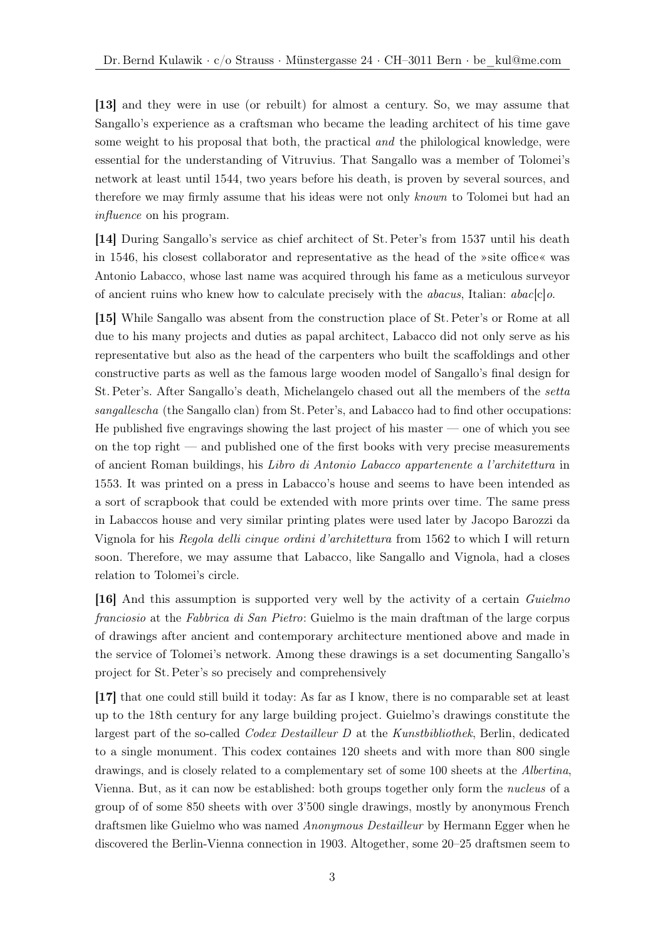[13] and they were in use (or rebuilt) for almost a century. So, we may assume that Sangallo's experience as a craftsman who became the leading architect of his time gave some weight to his proposal that both, the practical *and* the philological knowledge, were essential for the understanding of Vitruvius. That Sangallo was a member of Tolomei's network at least until 1544, two years before his death, is proven by several sources, and therefore we may firmly assume that his ideas were not only known to Tolomei but had an influence on his program.

[14] During Sangallo's service as chief architect of St. Peter's from 1537 until his death in 1546, his closest collaborator and representative as the head of the »site office« was Antonio Labacco, whose last name was acquired through his fame as a meticulous surveyor of ancient ruins who knew how to calculate precisely with the *abacus*, Italian:  $abac[c]$ o.

[15] While Sangallo was absent from the construction place of St. Peter's or Rome at all due to his many projects and duties as papal architect, Labacco did not only serve as his representative but also as the head of the carpenters who built the scaffoldings and other constructive parts as well as the famous large wooden model of Sangallo's final design for St. Peter's. After Sangallo's death, Michelangelo chased out all the members of the setta sangallescha (the Sangallo clan) from St. Peter's, and Labacco had to find other occupations: He published five engravings showing the last project of his master — one of which you see on the top right — and published one of the first books with very precise measurements of ancient Roman buildings, his Libro di Antonio Labacco appartenente a l'architettura in 1553. It was printed on a press in Labacco's house and seems to have been intended as a sort of scrapbook that could be extended with more prints over time. The same press in Labaccos house and very similar printing plates were used later by Jacopo Barozzi da Vignola for his Regola delli cinque ordini d'architettura from 1562 to which I will return soon. Therefore, we may assume that Labacco, like Sangallo and Vignola, had a closes relation to Tolomei's circle.

[16] And this assumption is supported very well by the activity of a certain Guielmo franciosio at the Fabbrica di San Pietro: Guielmo is the main draftman of the large corpus of drawings after ancient and contemporary architecture mentioned above and made in the service of Tolomei's network. Among these drawings is a set documenting Sangallo's project for St. Peter's so precisely and comprehensively

[17] that one could still build it today: As far as I know, there is no comparable set at least up to the 18th century for any large building project. Guielmo's drawings constitute the largest part of the so-called Codex Destailleur D at the Kunstbibliothek, Berlin, dedicated to a single monument. This codex containes 120 sheets and with more than 800 single drawings, and is closely related to a complementary set of some 100 sheets at the Albertina, Vienna. But, as it can now be established: both groups together only form the nucleus of a group of of some 850 sheets with over 3'500 single drawings, mostly by anonymous French draftsmen like Guielmo who was named Anonymous Destailleur by Hermann Egger when he discovered the Berlin-Vienna connection in 1903. Altogether, some 20–25 draftsmen seem to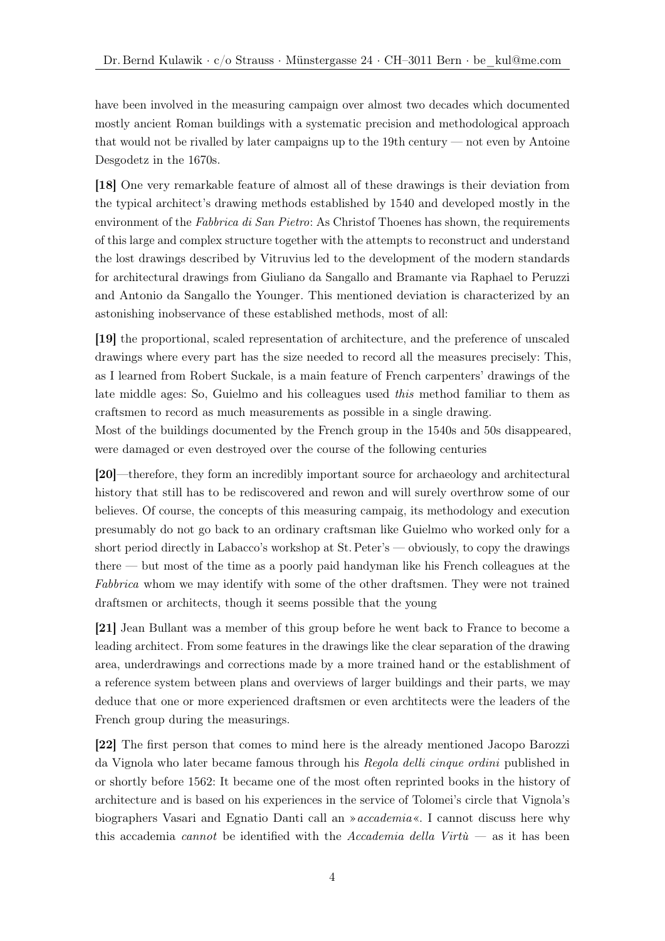have been involved in the measuring campaign over almost two decades which documented mostly ancient Roman buildings with a systematic precision and methodological approach that would not be rivalled by later campaigns up to the 19th century — not even by Antoine Desgodetz in the 1670s.

[18] One very remarkable feature of almost all of these drawings is their deviation from the typical architect's drawing methods established by 1540 and developed mostly in the environment of the Fabbrica di San Pietro: As Christof Thoenes has shown, the requirements of this large and complex structure together with the attempts to reconstruct and understand the lost drawings described by Vitruvius led to the development of the modern standards for architectural drawings from Giuliano da Sangallo and Bramante via Raphael to Peruzzi and Antonio da Sangallo the Younger. This mentioned deviation is characterized by an astonishing inobservance of these established methods, most of all:

[19] the proportional, scaled representation of architecture, and the preference of unscaled drawings where every part has the size needed to record all the measures precisely: This, as I learned from Robert Suckale, is a main feature of French carpenters' drawings of the late middle ages: So, Guielmo and his colleagues used this method familiar to them as craftsmen to record as much measurements as possible in a single drawing.

Most of the buildings documented by the French group in the 1540s and 50s disappeared, were damaged or even destroyed over the course of the following centuries

[20]—therefore, they form an incredibly important source for archaeology and architectural history that still has to be rediscovered and rewon and will surely overthrow some of our believes. Of course, the concepts of this measuring campaig, its methodology and execution presumably do not go back to an ordinary craftsman like Guielmo who worked only for a short period directly in Labacco's workshop at St. Peter's — obviously, to copy the drawings there — but most of the time as a poorly paid handyman like his French colleagues at the Fabbrica whom we may identify with some of the other draftsmen. They were not trained draftsmen or architects, though it seems possible that the young

[21] Jean Bullant was a member of this group before he went back to France to become a leading architect. From some features in the drawings like the clear separation of the drawing area, underdrawings and corrections made by a more trained hand or the establishment of a reference system between plans and overviews of larger buildings and their parts, we may deduce that one or more experienced draftsmen or even archtitects were the leaders of the French group during the measurings.

[22] The first person that comes to mind here is the already mentioned Jacopo Barozzi da Vignola who later became famous through his Regola delli cinque ordini published in or shortly before 1562: It became one of the most often reprinted books in the history of architecture and is based on his experiences in the service of Tolomei's circle that Vignola's biographers Vasari and Egnatio Danti call an »accademia«. I cannot discuss here why this accademia *cannot* be identified with the Accademia della Virt $\hat{u}$  — as it has been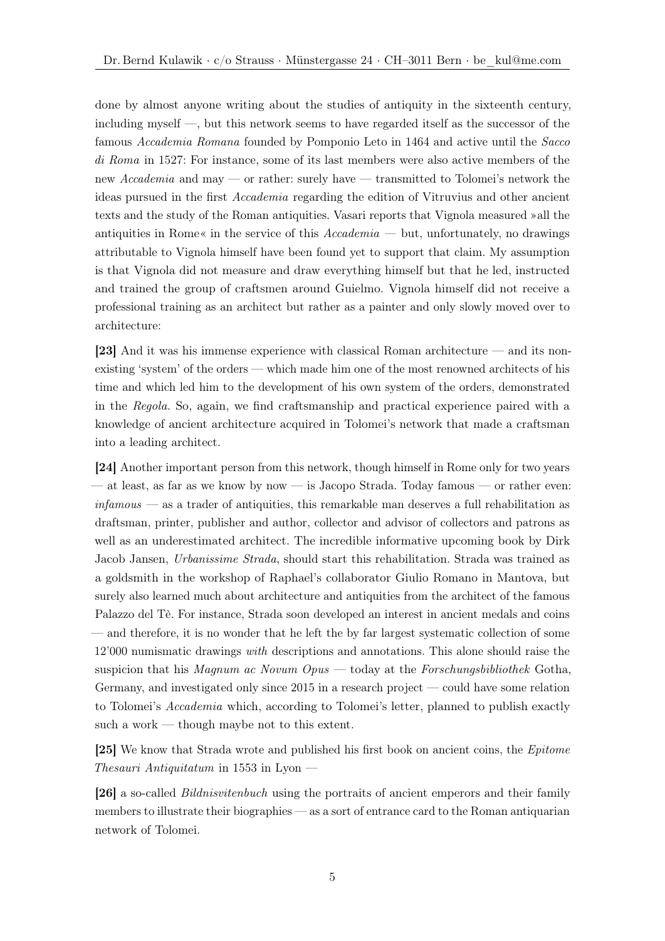done by almost anyone writing about the studies of antiquity in the sixteenth century, including myself —, but this network seems to have regarded itself as the successor of the famous Accademia Romana founded by Pomponio Leto in 1464 and active until the Sacco di Roma in 1527: For instance, some of its last members were also active members of the new Accademia and may — or rather: surely have — transmitted to Tolomei's network the ideas pursued in the first Accademia regarding the edition of Vitruvius and other ancient texts and the study of the Roman antiquities. Vasari reports that Vignola measured »all the antiquities in Rome« in the service of this  $Accademia$  — but, unfortunately, no drawings attributable to Vignola himself have been found yet to support that claim. My assumption is that Vignola did not measure and draw everything himself but that he led, instructed and trained the group of craftsmen around Guielmo. Vignola himself did not receive a professional training as an architect but rather as a painter and only slowly moved over to architecture:

[23] And it was his immense experience with classical Roman architecture — and its nonexisting 'system' of the orders — which made him one of the most renowned architects of his time and which led him to the development of his own system of the orders, demonstrated in the Regola. So, again, we find craftsmanship and practical experience paired with a knowledge of ancient architecture acquired in Tolomei's network that made a craftsman into a leading architect.

[24] Another important person from this network, though himself in Rome only for two years — at least, as far as we know by now — is Jacopo Strada. Today famous — or rather even: infamous — as a trader of antiquities, this remarkable man deserves a full rehabilitation as draftsman, printer, publisher and author, collector and advisor of collectors and patrons as well as an underestimated architect. The incredible informative upcoming book by Dirk Jacob Jansen, Urbanissime Strada, should start this rehabilitation. Strada was trained as a goldsmith in the workshop of Raphael's collaborator Giulio Romano in Mantova, but surely also learned much about architecture and antiquities from the architect of the famous Palazzo del Tè. For instance, Strada soon developed an interest in ancient medals and coins — and therefore, it is no wonder that he left the by far largest systematic collection of some 12'000 numismatic drawings with descriptions and annotations. This alone should raise the suspicion that his Magnum ac Novum Opus — today at the Forschungsbibliothek Gotha, Germany, and investigated only since 2015 in a research project — could have some relation to Tolomei's Accademia which, according to Tolomei's letter, planned to publish exactly such a work — though maybe not to this extent.

[25] We know that Strada wrote and published his first book on ancient coins, the Epitome Thesauri Antiquitatum in 1553 in Lyon  $-$ 

[26] a so-called Bildnisvitenbuch using the portraits of ancient emperors and their family members to illustrate their biographies — as a sort of entrance card to the Roman antiquarian network of Tolomei.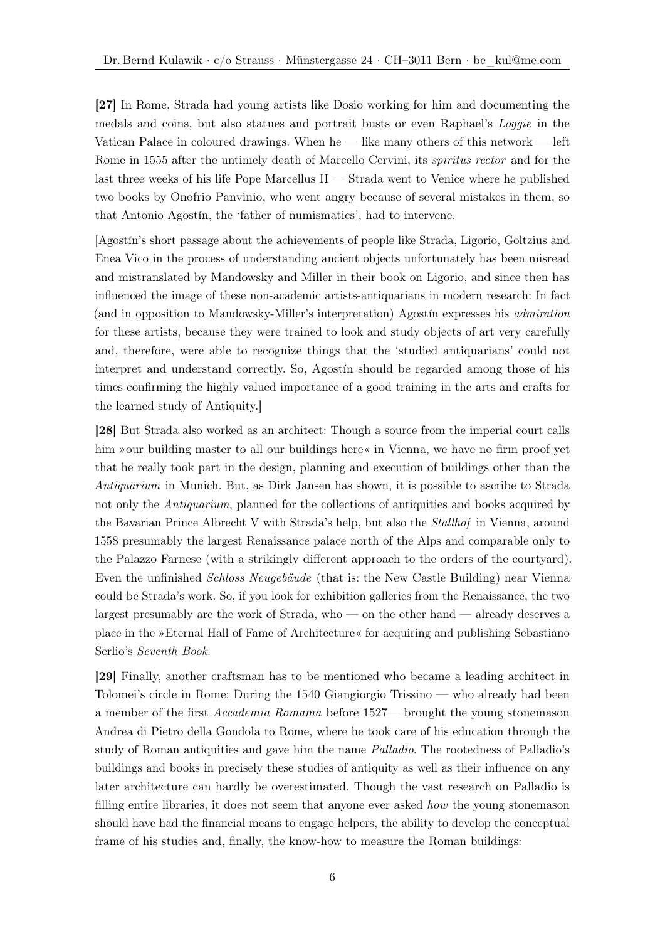[27] In Rome, Strada had young artists like Dosio working for him and documenting the medals and coins, but also statues and portrait busts or even Raphael's Loggie in the Vatican Palace in coloured drawings. When he — like many others of this network — left Rome in 1555 after the untimely death of Marcello Cervini, its *spiritus rector* and for the last three weeks of his life Pope Marcellus II — Strada went to Venice where he published two books by Onofrio Panvinio, who went angry because of several mistakes in them, so that Antonio Agostín, the 'father of numismatics', had to intervene.

[Agostín's short passage about the achievements of people like Strada, Ligorio, Goltzius and Enea Vico in the process of understanding ancient objects unfortunately has been misread and mistranslated by Mandowsky and Miller in their book on Ligorio, and since then has influenced the image of these non-academic artists-antiquarians in modern research: In fact (and in opposition to Mandowsky-Miller's interpretation) Agostín expresses his admiration for these artists, because they were trained to look and study objects of art very carefully and, therefore, were able to recognize things that the 'studied antiquarians' could not interpret and understand correctly. So, Agostín should be regarded among those of his times confirming the highly valued importance of a good training in the arts and crafts for the learned study of Antiquity.]

[28] But Strada also worked as an architect: Though a source from the imperial court calls him »our building master to all our buildings here« in Vienna, we have no firm proof yet that he really took part in the design, planning and execution of buildings other than the Antiquarium in Munich. But, as Dirk Jansen has shown, it is possible to ascribe to Strada not only the *Antiquarium*, planned for the collections of antiquities and books acquired by the Bavarian Prince Albrecht V with Strada's help, but also the Stallhof in Vienna, around 1558 presumably the largest Renaissance palace north of the Alps and comparable only to the Palazzo Farnese (with a strikingly different approach to the orders of the courtyard). Even the unfinished Schloss Neugebäude (that is: the New Castle Building) near Vienna could be Strada's work. So, if you look for exhibition galleries from the Renaissance, the two largest presumably are the work of Strada, who — on the other hand — already deserves a place in the »Eternal Hall of Fame of Architecture« for acquiring and publishing Sebastiano Serlio's Seventh Book.

[29] Finally, another craftsman has to be mentioned who became a leading architect in Tolomei's circle in Rome: During the 1540 Giangiorgio Trissino — who already had been a member of the first Accademia Romama before 1527— brought the young stonemason Andrea di Pietro della Gondola to Rome, where he took care of his education through the study of Roman antiquities and gave him the name Palladio. The rootedness of Palladio's buildings and books in precisely these studies of antiquity as well as their influence on any later architecture can hardly be overestimated. Though the vast research on Palladio is filling entire libraries, it does not seem that anyone ever asked how the young stonemason should have had the financial means to engage helpers, the ability to develop the conceptual frame of his studies and, finally, the know-how to measure the Roman buildings: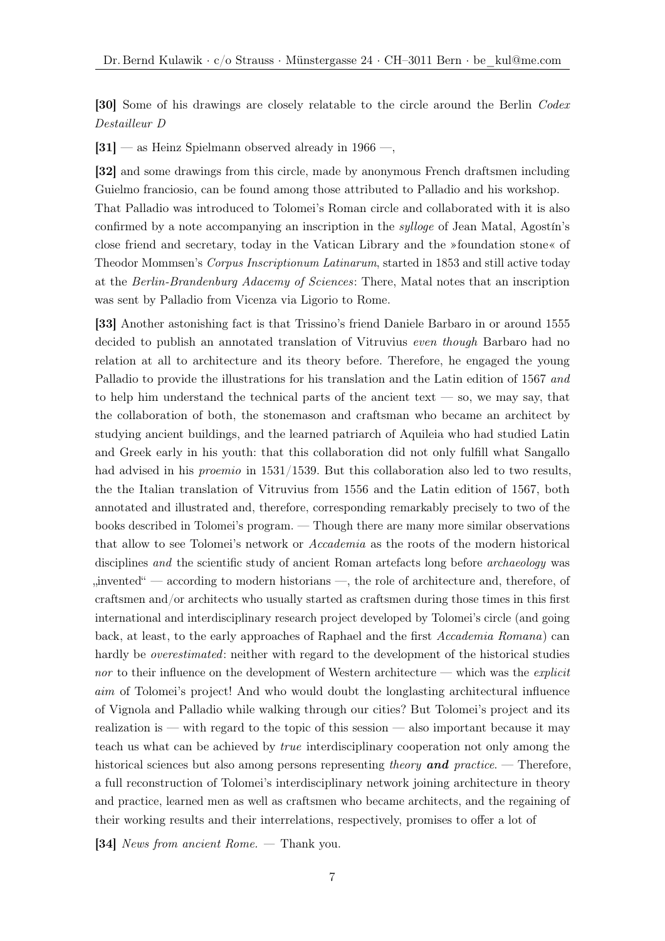[30] Some of his drawings are closely relatable to the circle around the Berlin Codex Destailleur D

[31] — as Heinz Spielmann observed already in 1966 —,

[32] and some drawings from this circle, made by anonymous French draftsmen including Guielmo franciosio, can be found among those attributed to Palladio and his workshop. That Palladio was introduced to Tolomei's Roman circle and collaborated with it is also confirmed by a note accompanying an inscription in the sylloge of Jean Matal, Agostín's close friend and secretary, today in the Vatican Library and the »foundation stone« of Theodor Mommsen's Corpus Inscriptionum Latinarum, started in 1853 and still active today at the Berlin-Brandenburg Adacemy of Sciences: There, Matal notes that an inscription was sent by Palladio from Vicenza via Ligorio to Rome.

[33] Another astonishing fact is that Trissino's friend Daniele Barbaro in or around 1555 decided to publish an annotated translation of Vitruvius even though Barbaro had no relation at all to architecture and its theory before. Therefore, he engaged the young Palladio to provide the illustrations for his translation and the Latin edition of 1567 and to help him understand the technical parts of the ancient text — so, we may say, that the collaboration of both, the stonemason and craftsman who became an architect by studying ancient buildings, and the learned patriarch of Aquileia who had studied Latin and Greek early in his youth: that this collaboration did not only fulfill what Sangallo had advised in his *proemio* in 1531/1539. But this collaboration also led to two results, the the Italian translation of Vitruvius from 1556 and the Latin edition of 1567, both annotated and illustrated and, therefore, corresponding remarkably precisely to two of the books described in Tolomei's program. — Though there are many more similar observations that allow to see Tolomei's network or Accademia as the roots of the modern historical disciplines and the scientific study of ancient Roman artefacts long before *archaeology* was  $\mu$ , invented  $\mu$  — according to modern historians —, the role of architecture and, therefore, of craftsmen and/or architects who usually started as craftsmen during those times in this first international and interdisciplinary research project developed by Tolomei's circle (and going back, at least, to the early approaches of Raphael and the first Accademia Romana) can hardly be *overestimated*: neither with regard to the development of the historical studies nor to their influence on the development of Western architecture — which was the *explicit* aim of Tolomei's project! And who would doubt the longlasting architectural influence of Vignola and Palladio while walking through our cities? But Tolomei's project and its realization is — with regard to the topic of this session — also important because it may teach us what can be achieved by true interdisciplinary cooperation not only among the historical sciences but also among persons representing theory and practice. — Therefore, a full reconstruction of Tolomei's interdisciplinary network joining architecture in theory and practice, learned men as well as craftsmen who became architects, and the regaining of their working results and their interrelations, respectively, promises to offer a lot of

[34] News from ancient Rome. — Thank you.